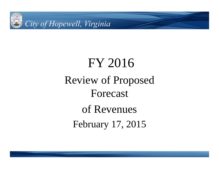

# FY 2016 Review of Proposed Forecast of Revenues February 17, 2015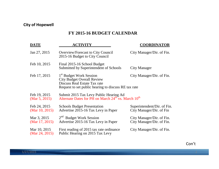### **FY 2015-16 BUDGET CALENDAR**

| DATE                              | <b>ACTIVITY</b>                                                                                                                                                  | <b>COORDINATOR</b>                                      |
|-----------------------------------|------------------------------------------------------------------------------------------------------------------------------------------------------------------|---------------------------------------------------------|
| Jan 27, 2015                      | Overview/Forecast to City Council<br>2015-16 Budget to City Council                                                                                              | City Manager/Dir. of Fin.                               |
| Feb 10, 2015                      | Final 2015-16 School Budget<br>Submitted by Superintendent of Schools                                                                                            | City Manager                                            |
| Feb 17, 2015                      | 1 <sup>st</sup> Budget Work Session<br><b>City Budget Overall Review</b><br>Discuss Real Estate Tax rate<br>Request to set public hearing to discuss RE tax rate | City Manager/Dir. of Fin.                               |
| Feb 19, 2015<br>(Mar $5, 2015$ )  | Submit 2015 Tax Levy Public Hearing Ad<br>Alternate Dates for PH on March 24 <sup>th</sup> vs. March 10 <sup>th</sup>                                            |                                                         |
| Feb 24, 2015<br>(Mar $10, 2015$ ) | <b>Schools Budget Presentation</b><br>Advertise 2015-16 Tax Levy in Paper                                                                                        | Superintendent/Dir. of Fin.<br>City Manager/Dir. of Fin |
| Mar 3, 2015<br>(Mar $17, 2015$ )  | $2nd$ Budget Work Session<br>Advertise 2015-16 Tax Levy in Paper                                                                                                 | City Manager/Dir. of Fin.<br>City Manager/Dir. of Fin.  |
| Mar 10, 2015<br>(Mar 24, 2015)    | First reading of 2015 tax rate ordinance<br>Public Hearing on 2015 Tax Levy                                                                                      | City Manager/Dir. of Fin.                               |

Con't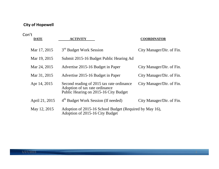#### Con't

| <b>DATE</b>    | <b>ACTIVITY</b>                                                                                                      | <b>COORDINATOR</b>        |
|----------------|----------------------------------------------------------------------------------------------------------------------|---------------------------|
| Mar 17, 2015   | 3 <sup>rd</sup> Budget Work Session                                                                                  | City Manager/Dir. of Fin. |
| Mar 19, 2015   | Submit 2015-16 Budget Public Hearing Ad                                                                              |                           |
| Mar 24, 2015   | Advertise 2015-16 Budget in Paper                                                                                    | City Manager/Dir. of Fin. |
| Mar 31, 2015   | Advertise 2015-16 Budget in Paper                                                                                    | City Manager/Dir. of Fin. |
| Apr 14, 2015   | Second reading of 2015 tax rate ordinance<br>Adoption of tax rate ordinance<br>Public Hearing on 2015-16 City Budget | City Manager/Dir. of Fin. |
| April 21, 2015 | 4 <sup>th</sup> Budget Work Session (If needed)                                                                      | City Manager/Dir. of Fin. |
| May 12, 2015   | Adoption of 2015-16 School Budget (Required by May 16),<br>Adoption of 2015-16 City Budget                           |                           |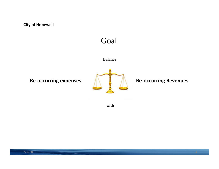## Goal

#### **Balance**

**Re-occurring expenses ALCONG Re-occurring Revenues** 



**with**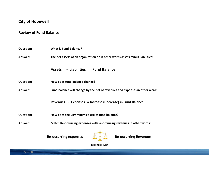#### **Review of Fund Balance**

| <b>Question:</b> | <b>What is Fund Balance?</b>                                                  |  |  |  |  |  |  |  |  |  |
|------------------|-------------------------------------------------------------------------------|--|--|--|--|--|--|--|--|--|
| Answer:          | The net assets of an organization or in other words assets minus liabilities: |  |  |  |  |  |  |  |  |  |
|                  | - Liabilities = Fund Balance<br><b>Assets</b>                                 |  |  |  |  |  |  |  |  |  |
| <b>Question:</b> | How does fund balance change?                                                 |  |  |  |  |  |  |  |  |  |
| Answer:          | Fund balance will change by the net of revenues and expenses in other words:  |  |  |  |  |  |  |  |  |  |
|                  | Revenues - Expenses = Increase (Decrease) in Fund Balance                     |  |  |  |  |  |  |  |  |  |
| <b>Question:</b> | How does the City minimize use of fund balance?                               |  |  |  |  |  |  |  |  |  |
| Answer:          | Match Re-occurring expenses with re-occurring revenues in other words:        |  |  |  |  |  |  |  |  |  |
|                  | <b>Re-occurring Revenues</b><br><b>Re-occurring expenses</b>                  |  |  |  |  |  |  |  |  |  |

Balanced with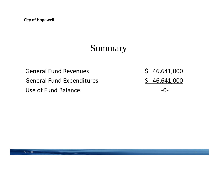# Summary

General FundGeneral Fund Expenditures 5 46,641,000 Use of Fund Balance **Fund Balance Fund Balance Fund Balance Fund Balance Fund Balance Fund Balance Fund Balance** 

 $$46,641,000$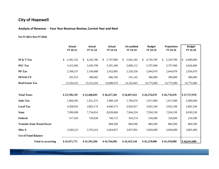**Analysis of Revenue ‐ Four Year Revenue Review, Current Year and Next**

#### **For FY 2011 thru FY 2016**

|                                  | <b>Actual</b><br>FY 10-11 | <b>Actual</b><br>FY 11-12 | <b>Actual</b><br>FY 12-13 | Un-audited<br>FY 13-14    | <b>Budget</b><br>FY 14-15 | <b>Projections</b><br>FY 14-15 | <b>Budget</b><br>FY 15-16  |
|----------------------------------|---------------------------|---------------------------|---------------------------|---------------------------|---------------------------|--------------------------------|----------------------------|
| M & T Tax                        | 4,381,352<br>\$           | 4,202,780<br>\$.          | 5,797,880<br>S.           | 5,962,182<br>$\mathbf{s}$ | 4,759,700<br>\$           | 5,259,700<br>\$                | \$<br>6,000,000            |
| <b>PSC Tax</b>                   | 3,412,983                 | 3,420,799                 | 3,391,300                 | 3,800,112                 | 3,797,000                 | 3,797,000                      | 4,026,000                  |
| PP Tax                           | 2,598,537                 | 2,184,808                 | 2,452,885                 | 2,528,550                 | 2,944,970                 | 2,644,970                      | 2,656,970                  |
| <b>PENALTY</b>                   | 291,913                   | 308,682                   | 686,760                   | 241,145                   | 300,000                   | 300,000                        | 300,000                    |
| <b>Real Estate Tax</b>           | 13, 104, 325              | 13,331,624                | 14,088,676                | 14,165,663                | 14,775,000                | 14,775,000                     | 14,775,000                 |
|                                  |                           |                           |                           |                           |                           |                                |                            |
| <b>Total Taxes</b>               | \$23,789,110              | \$23,448,693              | \$26,417,501              | \$26,697,652              | \$26,576,670              | \$26,776,670                   | \$27,757,970               |
| <b>Sales Tax</b>                 | 1,866,495                 | 1,921,273                 | 1,989,128                 | 1,706,676                 | 1,917,000                 | 1,917,000                      | 2,000,000                  |
| <b>Local Tax</b>                 | 4,208,055                 | 3,863,174                 | 4,040,173                 | 3,942,917                 | 3,952,100                 | 3,952,100                      | 3,892,100                  |
| <b>State</b>                     | 7,990,696                 | 7,734,814                 | 8,028,684                 | 7,944,224                 | 7,934,530                 | 7,934,530                      | 8,050,530                  |
| Federal                          | 517,203                   | 720,028                   | 740,172                   | 418,274                   | 318,600                   | 318,600                        | 254,500                    |
| <b>Transfer from Waste/Sewer</b> |                           |                           | 884,500                   | 884,500                   | 884,500                   | 884,500                        | 884,500                    |
| Misc \$                          | 3,300,213                 | 3,705,414                 | 3,664,837                 | 3,837,901                 | 3,694,600                 | 3,694,600                      | 3,801,400                  |
| <b>Use of Fund Balance</b>       |                           |                           |                           |                           |                           |                                |                            |
| <b>Total re-occurring</b>        | \$41,671,771              | \$41,393,396              | \$45,764,995              | \$45,432,144              | \$45,278,000              | \$45,478,000                   | $\frac{1}{2}$ \$46,641,000 |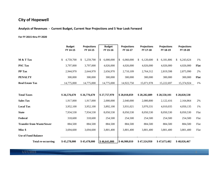**Analysis of Revenues ‐ Current Budget, Current Year Projections and 5 Year Look Forward**

#### **For FY 2015 thru FY 2020**

|                                  | <b>Budget</b><br>FY 14-15 | <b>Projections</b><br>FY 14-15 | <b>Budget</b><br>FY 15-16 | <b>Projections</b><br>FY 16-17 | <b>Projections</b><br>FY 17-18 | <b>Projections</b><br>FY 18-19 | <b>Projections</b><br>FY 19-20 |      |
|----------------------------------|---------------------------|--------------------------------|---------------------------|--------------------------------|--------------------------------|--------------------------------|--------------------------------|------|
| M & T Tax                        | 4,759,700<br>\$           | 5,259,700<br>\$.               | 6,000,000<br>\$           | 6,060,000<br>\$                | 6,120,600<br>\$                | 6,181,806<br>\$                | 6,243,624<br>\$.               | 1%   |
| <b>PSC Tax</b>                   | 3,797,000                 | 3,797,000                      | 4,026,000                 | 4,026,000                      | 4,026,000                      | 4,026,000                      | 4,026,000                      | Flat |
| <b>PP</b> Tax                    | 2,944,970                 | 2,644,970                      | 2,656,970                 | 2,710,109                      | 2,764,312                      | 2,819,598                      | 2,875,990                      | 2%   |
| <b>PENALTY</b>                   | 300,000                   | 300,000                        | 300,000                   | 300,000                        | 300,000                        | 300,000                        | 300,000                        | Flat |
| <b>Real Estate Tax</b>           | 14,775,000                | 14,775,000                     | 14,775,000                | 14,922,750                     | 15,071,978                     | 15,222,697                     | 15,374,924                     | 1%   |
| <b>Total Taxes</b>               | \$26,576,670              | \$26,776,670                   | \$27,757,970              | \$28,018,859                   | \$28,282,889                   | \$28,550,101                   | \$28,820,538                   |      |
| <b>Sales Tax</b>                 | 1,917,000                 | 1,917,000                      | 2,000,000                 | 2,040,000                      | 2,080,800                      | 2,122,416                      | 2,164,864                      | 2%   |
| <b>Local Tax</b>                 | 3,952,100                 | 3,952,100                      | 3,892,100                 | 3,931,021                      | 3,970,331                      | 4,010,035                      | 4,050,135                      | 1%   |
| <b>State</b>                     | 7,934,530                 | 7,934,530                      | 8,050,530                 | 8,050,530                      | 8,050,530                      | 8,050,530                      | 8,050,530                      | Flat |
| Federal                          | 318,600                   | 318,600                        | 254,500                   | 254,500                        | 254,500                        | 254,500                        | 254,500                        | Flat |
| <b>Transfer from Waste/Sewer</b> | 884,500                   | 884,500                        | 884,500                   | 884,500                        | 884,500                        | 884,500                        | 884,500                        | Flat |
| Misc \$                          | 3,694,600                 | 3,694,600                      | 3,801,400                 | 3,801,400                      | 3,801,400                      | 3,801,400                      | 3,801,400                      | Flat |
| <b>Use of Fund Balance</b>       |                           |                                |                           |                                |                                |                                |                                |      |
| <b>Total re-occurring</b>        | \$45,278,000              | \$45,478,000                   | \$46,641,000              | \$46,980,810                   | \$47,324,950                   | \$47,673,482                   | \$48,026,467                   |      |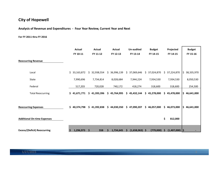**Analysis of Revenue and Expenditures ‐ Four Year Review, Current Year and Next**

#### **For FY 2011 thru FY 2016**

|                                     | Actual<br>FY 10-11 | <b>Actual</b><br>FY 11-12 | Actual<br>FY 12-13 | Un-audited<br>FY 13-14 | <b>Budget</b><br>FY 14-15 | Projected<br>FY 14-15   | <b>Budget</b><br>FY 15-16 |
|-------------------------------------|--------------------|---------------------------|--------------------|------------------------|---------------------------|-------------------------|---------------------------|
| <b>Reoccurring Revenue</b>          |                    |                           |                    |                        |                           |                         |                           |
| Local                               | \$33,163,872       | \$32,938,554              | \$36,996,139       | \$37,069,646           | \$37,024,870              | 37,224,870<br>\$.       | ۱\$.<br>38,335,970        |
| State                               | 7,990,696          | 7,734,814                 | 8,028,684          | 7,944,224              | 7,934,530                 | 7,934,530               | 8,050,530                 |
| Federal                             | 517,203            | 720,028                   | 740,172            | 418,274                | 318,600                   | 318,600                 | 254,500                   |
| <b>Total Reoccurring</b>            | \$41,671,771       | \$41,393,396              | \$45,764,995       | 45,432,144<br>\$.      | \$45,278,000              | 45,478,000<br>\$.       | \$46,641,000              |
| <b>Reoccurring Expenses</b>         | Ś.<br>40,374,798   | \$41,392,838              | \$44,030,350       | 47,090,207<br>\$       | \$<br>46,057,000          | 46,073,000<br>\$.       | \$46,641,000              |
| <b>Additional On-time Expenses</b>  |                    |                           |                    |                        |                           | \$<br>812,000           |                           |
| <b>Excess/(Deficit) Reoccurring</b> | 1,296,973<br>Ŝ.    | \$<br>558                 | 1,734,645          | $(1,658,063)$ \$<br>S  | (779,000)                 | $(1,407,000)$   \$<br>S |                           |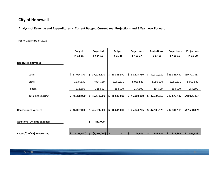Analysis of Revenue and Expenditures - Current Budget, Current Year Projections and 5 Year Look Forward

#### **For FY 2015 thru FY 2020**

|                                     | <b>Budget</b><br>FY 14-15 | Projected<br>FY 14-15 | <b>Budget</b><br>FY 15-16 | <b>Projections</b><br>FY 16-17 | <b>Projections</b><br>FY 17-18 | <b>Projections</b><br>FY 18-19 | <b>Projections</b><br>FY 19-20 |
|-------------------------------------|---------------------------|-----------------------|---------------------------|--------------------------------|--------------------------------|--------------------------------|--------------------------------|
| <b>Reoccurring Revenue</b>          |                           |                       |                           |                                |                                |                                |                                |
| Local                               | \$37,024,870              | 37,224,870<br>\$.     | \$<br>38,335,970          | 38,675,780<br>\$.              | \$.<br>39,019,920              | \$39,368,452                   | \$39,721,437                   |
| State                               | 7,934,530                 | 7,934,530             | 8,050,530                 | 8,050,530                      | 8,050,530                      | 8,050,530                      | 8,050,530                      |
| Federal                             | 318,600                   | 318,600               | 254,500                   | 254,500                        | 254,500                        | 254,500                        | 254,500                        |
| <b>Total Reoccurring</b>            | \$45,278,000              | \$45,478,000          | \$<br>46,641,000          | \$.<br>46,980,810              | \$.<br>47,324,950              | \$47,673,482                   | \$48,026,467                   |
| <b>Reoccurring Expenses</b>         | \$46,057,000              | \$46,073,000          | \$<br>46,641,000          | \$.<br>46,874,205              | \$<br>47,108,576               | \$47,344,119                   | \$47,580,839                   |
| <b>Additional On-time Expenses</b>  |                           | \$<br>812,000         |                           |                                |                                |                                |                                |
| <b>Excess/(Deficit) Reoccurring</b> | (779,000)<br>Ŝ.           | (1,407,000)<br>S      | - 1\$                     | 106,605<br><b>S</b>            | 216,374<br>S                   | 329,363<br>S                   | 445,628<br>S                   |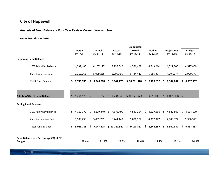#### **Analysis of Fund Balance ‐ Four Year Review, Current Year and Next**

#### **For FY 2011 thru FY 2016**

|                                                         |         |               |     |               |     |               |     | Un-audited     |              |               |     |                    |    |               |
|---------------------------------------------------------|---------|---------------|-----|---------------|-----|---------------|-----|----------------|--------------|---------------|-----|--------------------|----|---------------|
|                                                         |         | <b>Actual</b> |     | <b>Actual</b> |     | <b>Actual</b> |     | <b>Actual</b>  |              | <b>Budget</b> |     | <b>Projections</b> |    | <b>Budget</b> |
|                                                         |         | FY 10-11      |     | FY 11-12      |     | FY 12-13      |     | FY 13-14       |              | FY 14-15      |     | FY 14-15           |    | FY 15-16      |
| <b>Beginning Fund Balance</b>                           |         |               |     |               |     |               |     |                |              |               |     |                    |    |               |
| 10% Rainy Day Balance                                   |         | 4,037,480     |     | 4,167,177     |     | 4,139,340     |     | 4,576,499      |              | 4,543,214     |     | 4,527,800          |    | 4,527,800     |
| Fund Balance available                                  |         | 3,712,265     |     | 5,009,238     |     | 5,009,795     |     | 6,744,440      |              | 5,086,377     |     | 4,307,377          |    | 2,900,377     |
| <b>Total Fund Balance</b>                               |         | \$7,749,745   | S.  | 9,046,718     | S.  | 9,047,275     |     | \$10,781,920   | S            | 9,123,857     | \$. | 8,344,857          | \$ | 6,937,857     |
| <b>Addition/Use of Fund Balance</b>                     | $\zeta$ | 1,296,973     | Ŝ.  | 558           | Ŝ.  | 1,734,645     |     | \$ (1,658,063) | <sup>S</sup> | (779,000)     |     | \$(1,407,000)      | \$ |               |
| <b>Ending Fund Balance</b>                              |         |               |     |               |     |               |     |                |              |               |     |                    |    |               |
| 10% Rainy Day Balance                                   | Ś.      | 4,167,177     | \$. | 4,139,340     | \$. | 4,576,499     |     | 4,543,214      | \$.          | 4,527,800     | \$  | 4,527,800          | \$ | 4,664,100     |
| Fund Balance available                                  |         | 5,009,238     |     | 5,009,795     |     | 6,744,440     |     | 5,086,377      |              | 4,307,377     |     | 2,900,377          |    | 2,900,377     |
| <b>Total Fund Balance</b>                               | \$.     | 9,046,718     | \$. | 9,047,275     |     | \$10,781,920  | \$. | 9,123,857      | \$.          | 8,344,857     | \$. | 6,937,857          | \$ | 6,937,857     |
| Fund Balance as a Percentage (%) of GF<br><b>Budget</b> |         | 22.4%         |     | 21.9%         |     | 24.5%         |     | 19.4%          |              | 18.1%         |     | 15.1%              |    | 14.9%         |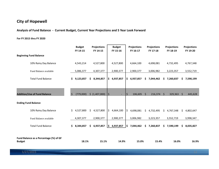**Analysis of Fund Balance ‐ Current Budget, Current Year Projections and 5 Year Look Forward**

#### **For FY 2015 thru FY 2020**

|                                        |     | <b>Budget</b> |     | <b>Projections</b> |      | <b>Budget</b> |    | <b>Projections</b> |     | <b>Projections</b> |    | <b>Projections</b> |              | <b>Projections</b> |
|----------------------------------------|-----|---------------|-----|--------------------|------|---------------|----|--------------------|-----|--------------------|----|--------------------|--------------|--------------------|
| <b>Beginning Fund Balance</b>          |     | FY 14-15      |     | FY 14-15           |      | FY 15-16      |    | FY 16-17           |     | FY 17-18           |    | FY 18-19           |              | FY 19-20           |
|                                        |     |               |     |                    |      |               |    |                    |     |                    |    |                    |              |                    |
| 10% Rainy Day Balance                  |     | 4,543,214     |     | 4,527,800          |      | 4,527,800     |    | 4,664,100          |     | 4,698,081          |    | 4,732,495          |              | 4,767,348          |
| Fund Balance available                 |     | 5,086,377     |     | 4,307,377          |      | 2,900,377     |    | 2,900,377          |     | 3,006,982          |    | 3,223,357          |              | 3,552,719          |
|                                        |     |               |     |                    |      |               |    |                    |     |                    |    |                    |              |                    |
| <b>Total Fund Balance</b>              | S.  | 9,123,857     |     | \$3,344,857        | \$   | 6,937,857     | \$ | 6,937,857          | \$. | 7,044,462          | \$ | 7,260,837          | \$           | 7,590,199          |
|                                        |     |               |     |                    |      |               |    |                    |     |                    |    |                    |              |                    |
|                                        |     |               |     |                    |      |               |    |                    |     |                    |    |                    |              |                    |
| <b>Addition/Use of Fund Balance</b>    | Ŝ.  | (779,000)     |     | \$ (1,407,000)     | l\$  | ÷,            | Ś  | $106,605$ \$       |     | 216,374            | Ŝ. | 329,363            | <sup>S</sup> | 445,628            |
|                                        |     |               |     |                    |      |               |    |                    |     |                    |    |                    |              |                    |
| <b>Ending Fund Balance</b>             |     |               |     |                    |      |               |    |                    |     |                    |    |                    |              |                    |
| 10% Rainy Day Balance                  | \$. | 4,527,800     | \$  | 4,527,800          | \$   | 4,664,100     | \$ | 4,698,081          | \$. | 4,732,495          |    | \$4,767,348        | Ś.           | 4,802,647          |
| Fund Balance available                 |     | 4,307,377     |     | 2,900,377          |      | 2,900,377     |    | 3,006,982          |     | 3,223,357          |    | 3,552,719          |              | 3,998,347          |
|                                        |     |               |     |                    |      |               |    |                    |     |                    |    |                    |              |                    |
| <b>Total Fund Balance</b>              | S.  | 8,344,857     | \$. | 6,937,857          | I\$. | 6,937,857     | \$ | 7,044,462          | Ś.  | 7,260,837          |    | \$7,590,199        | \$           | 8,035,827          |
|                                        |     |               |     |                    |      |               |    |                    |     |                    |    |                    |              |                    |
| Fund Balance as a Percentage (%) of GF |     |               |     |                    |      |               |    |                    |     |                    |    |                    |              |                    |
| <b>Budget</b>                          |     | 18.1%         |     | 15.1%              |      | 14.9%         |    | 15.0%              |     | 15.4%              |    | 16.0%              |              | 16.9%              |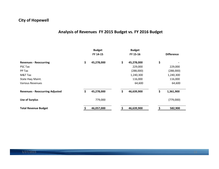## **Analysis of Revenues FY 2015 Budget vs. FY 2016 Budget**

|                                        | <b>Budget</b><br>FY 14-15 | <b>Budget</b><br>FY 15-16 | <b>Difference</b> |
|----------------------------------------|---------------------------|---------------------------|-------------------|
| <b>Revenues - Reoccurring</b>          | \$<br>45,278,000          | \$<br>45,278,000          | \$                |
| PSC Tax                                |                           | 229,000                   | 229,000           |
| PP Tax                                 |                           | (288,000)                 | (288,000)         |
| M&T Tax                                |                           | 1,240,300                 | 1,240,300         |
| State Hwy Maint.                       |                           | 116,000                   | 116,000           |
| Various Revenues                       |                           | 64,600                    | 64,600            |
| <b>Revenues - Reoccurring Adjusted</b> | \$<br>45,278,000          | \$<br>46,639,900          | \$<br>1,361,900   |
| <b>Use of Surplus</b>                  | 779,000                   |                           | (779,000)         |
| <b>Total Revenue Budget</b>            | 46,057,000                | 46,639,900                | 582,900           |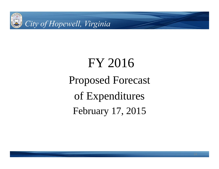

# FY 2016 Proposed Forecast of Expenditures February 17, 2015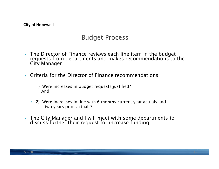## **Budget Process**

- ▶ The Director of Finance reviews each line item in the budget requests from departments and makes recommendations to the City Manager
- Criteria for the Director of Finance recommendations:
	- 1) Were increases in budget requests justified? And
	- 2) Were increases in line with 6 months current year actuals and two years prior actuals?
- The City Manager and I will meet with some departments to discuss further their request for increase funding.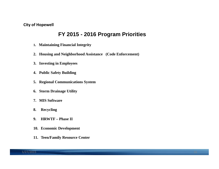## **FY 2015 - 2016 Program Priorities**

- **1. Maintaining Financial Integrity**
- **2. Housing and Neighborhood Assistance (Code Enforcement)**
- **3. Investing in Employees**
- **4. Public Safety Building**
- **5. Regional Communications System**
- **6. Storm Drainage Utility**
- **7. MIS Software**
- **8. Recycling**
- **9. HRWTF – Phase II**
- **10. Economic Development**
- **11. Teen/Family Resource Center**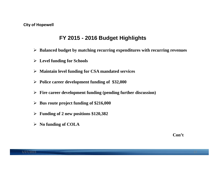## **FY 2015 - 2016 Budget Highlights**

- **Balanced budget by matching recurring expenditures with recurring revenues**
- **Level funding for Schools**
- **Maintain level funding for CSA mandated services**
- **Police career development funding of \$32,000**
- **Fire career development funding (pending further discussion)**
- **Bus route project funding of \$216,000**
- **Funding of 2 new positions \$120,382**
- **No funding of COLA**

**Con't**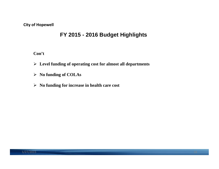## **FY 2015 - 2016 Budget Highlights**

**Con't**

- **Level funding of operating cost for almost all departments**
- **No funding of COLAs**
- **No funding for increase in health care cost**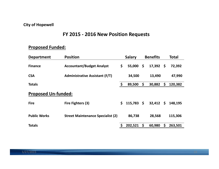### **FY 2015 ‐ 2016 New Position Requests**

## **Proposed Funded:**

| <b>Department</b>          | <b>Position</b>                          | <b>Salary</b>      | <b>Benefits</b>        |    | <b>Total</b> |
|----------------------------|------------------------------------------|--------------------|------------------------|----|--------------|
| <b>Finance</b>             | <b>Accountant/Budget Analyst</b>         | \$<br>55,000       | \$<br>$17,392 \quad $$ |    | 72,392       |
| <b>CSA</b>                 | <b>Administrative Assistant (F/T)</b>    | 34,500             | 13,490                 |    | 47,990       |
| <b>Totals</b>              |                                          | \$<br>89,500       | \$<br>30,882           | \$ | 120,382      |
| <b>Proposed Un-funded:</b> |                                          |                    |                        |    |              |
| <b>Fire</b>                | Fire Fighters (3)                        | \$<br>$115,783$ \$ | 32,412                 | \$ | 148,195      |
| <b>Public Works</b>        | <b>Street Maintenance Specialist (2)</b> | 86,738             | 28,568                 |    | 115,306      |
| <b>Totals</b>              |                                          | 202,521            | \$<br>60,980           | S  | 263,501      |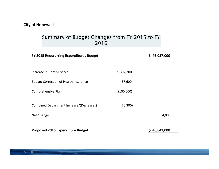## Summary of Budget Changes from FY 2015 to FY 2016

| FY 2015 Reoccurring Expenditures Budget      |           | \$46,057,000 |  |  |  |  |
|----------------------------------------------|-----------|--------------|--|--|--|--|
| Increase in Debt Services                    | \$302,700 |              |  |  |  |  |
| <b>Budget Correction of Health Insurance</b> | 457,600   |              |  |  |  |  |
| Comprehensive Plan                           | (100,000) |              |  |  |  |  |
| Combined Department Increase/(Decreases)     | (76, 300) |              |  |  |  |  |
| Net Change                                   |           | 584,000      |  |  |  |  |
| <b>Proposed 2016 Expenditure Budget</b>      |           | 46,641,000   |  |  |  |  |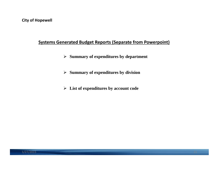## **Systems Generated Budget Reports (Separate from Powerpoint)**

- **Summary of expenditures by department**
- **Summary of expenditures by division**
- **List of expenditures by account code**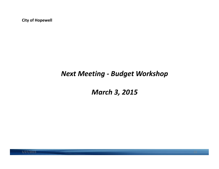## *Next Meeting ‐ Budget Workshop*

*March 3, 2015*